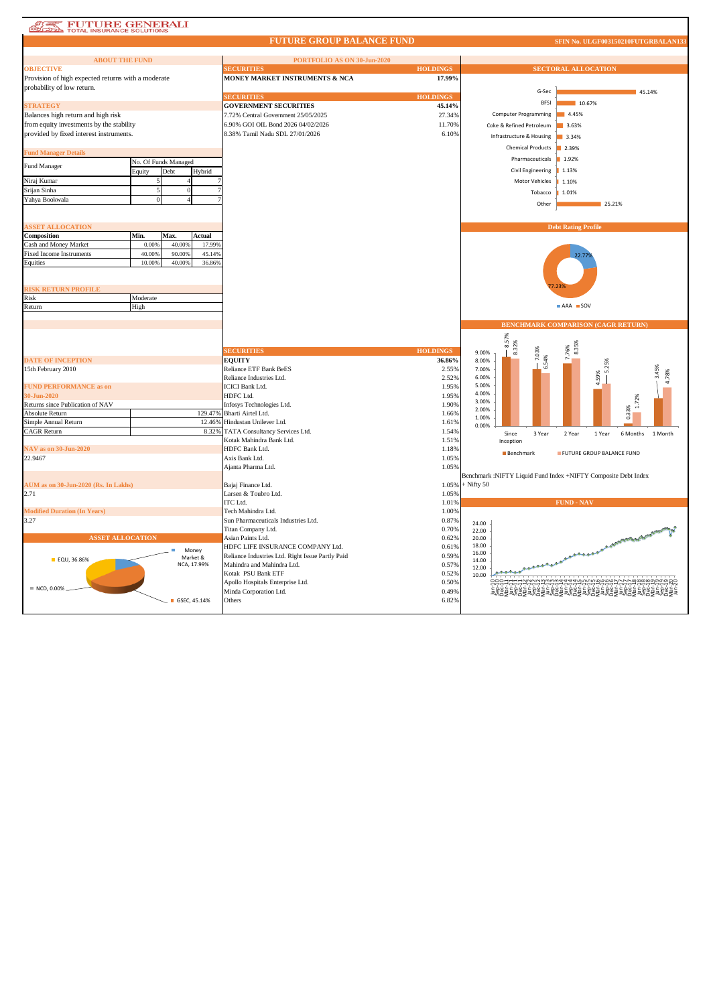| <b>FUTURE GENERALI</b><br>TOTAL INSURANCE SOLUTIONS<br>45 |                      |                         |                   |                                                                                      |                 |                |                                   |                                                                |                     |
|-----------------------------------------------------------|----------------------|-------------------------|-------------------|--------------------------------------------------------------------------------------|-----------------|----------------|-----------------------------------|----------------------------------------------------------------|---------------------|
|                                                           |                      |                         |                   | <b>FUTURE GROUP BALANCE FUND</b>                                                     |                 |                |                                   | SFIN No. ULGF003150210FUTGRBALAN133                            |                     |
| <b>ABOUT THE FUND</b>                                     |                      |                         |                   | PORTFOLIO AS ON 30-Jun-2020                                                          |                 |                |                                   |                                                                |                     |
| <b>OBJECTIVE</b>                                          |                      |                         |                   | <b>HOLDINGS</b><br><b>SECURITIES</b>                                                 |                 |                | <b>SECTORAL ALLOCATION</b>        |                                                                |                     |
| Provision of high expected returns with a moderate        |                      |                         |                   | MONEY MARKET INSTRUMENTS & NCA                                                       | 17.99%          |                |                                   |                                                                |                     |
| probability of low return.                                |                      |                         |                   |                                                                                      |                 |                |                                   |                                                                |                     |
|                                                           |                      |                         |                   | <b>SECURITIES</b>                                                                    | <b>HOLDINGS</b> |                | G-Sec                             |                                                                | 45.14%              |
| <b>STRATEGY</b>                                           |                      |                         |                   | <b>GOVERNMENT SECURITIES</b>                                                         | 45.14%          |                | <b>BFSI</b>                       | 10.67%                                                         |                     |
|                                                           |                      |                         |                   |                                                                                      | 27.34%          |                | <b>Computer Programming</b>       | 4.45%                                                          |                     |
| Balances high return and high risk                        |                      |                         |                   | 7.72% Central Government 25/05/2025                                                  |                 |                |                                   |                                                                |                     |
| from equity investments by the stability                  |                      |                         |                   | 6.90% GOI OIL Bond 2026 04/02/2026                                                   | 11.70%          |                | Coke & Refined Petroleum<br>3.63% |                                                                |                     |
| provided by fixed interest instruments.                   |                      |                         |                   | 8.38% Tamil Nadu SDL 27/01/2026                                                      | 6.10%           |                | Infrastructure & Housing          | 3.34%                                                          |                     |
| <b>Fund Manager Details</b>                               |                      |                         |                   |                                                                                      |                 |                | <b>Chemical Products</b>          | 2.39%                                                          |                     |
|                                                           |                      |                         |                   |                                                                                      |                 |                | Pharmaceuticals                   | 1.92%                                                          |                     |
| Fund Manager                                              | No. Of Funds Managed |                         |                   |                                                                                      |                 |                | Civil Engineering                 |                                                                |                     |
|                                                           | Equity               | Debt                    | Hybrid            |                                                                                      |                 |                |                                   | 1.13%                                                          |                     |
| Niraj Kumar                                               |                      |                         |                   |                                                                                      |                 |                | Motor Vehicles                    | 1.10%                                                          |                     |
| Srijan Sinha                                              |                      |                         |                   |                                                                                      |                 |                | Tobacco                           | 1.01%                                                          |                     |
| Yahya Bookwala                                            |                      |                         |                   |                                                                                      |                 |                | Other                             | 25.21%                                                         |                     |
|                                                           |                      |                         |                   |                                                                                      |                 |                |                                   |                                                                |                     |
| <b>ASSET ALLOCATION</b>                                   |                      |                         |                   |                                                                                      |                 |                |                                   | <b>Debt Rating Profile</b>                                     |                     |
| Composition                                               | Min.                 | Max.                    | Actual            |                                                                                      |                 |                |                                   |                                                                |                     |
| Cash and Money Market                                     | 0.009                | 40.00%                  | 17.99%            |                                                                                      |                 |                |                                   |                                                                |                     |
| <b>Fixed Income Instruments</b>                           | 40.009               | 90.00%                  | 45.14%            |                                                                                      |                 |                |                                   |                                                                |                     |
|                                                           | 10.009               | 40.00%                  | 36.86%            |                                                                                      |                 |                |                                   | 22.7                                                           |                     |
| Equities                                                  |                      |                         |                   |                                                                                      |                 |                |                                   |                                                                |                     |
|                                                           |                      |                         |                   |                                                                                      |                 |                |                                   |                                                                |                     |
| RISK RETURN PROFILE                                       |                      |                         |                   |                                                                                      |                 |                |                                   |                                                                |                     |
| Risk                                                      | Moderate             |                         |                   |                                                                                      |                 |                |                                   |                                                                |                     |
| Return                                                    | High                 |                         |                   |                                                                                      |                 | AAA SOV        |                                   |                                                                |                     |
|                                                           |                      |                         |                   |                                                                                      |                 |                |                                   |                                                                |                     |
|                                                           |                      |                         |                   |                                                                                      |                 |                |                                   |                                                                |                     |
|                                                           |                      |                         |                   |                                                                                      |                 |                |                                   |                                                                |                     |
|                                                           |                      |                         |                   |                                                                                      |                 |                |                                   | <b>BENCHMARK COMPARISON (CAGR RETURN)</b>                      |                     |
|                                                           |                      |                         |                   |                                                                                      |                 |                |                                   |                                                                |                     |
|                                                           |                      |                         |                   |                                                                                      |                 |                | 8.57%                             |                                                                |                     |
|                                                           |                      |                         |                   | <b>SECURITIES</b>                                                                    | <b>HOLDINGS</b> | 9.00%          | 8.32%<br>7.03%                    | 8.35%<br>7.76%                                                 |                     |
| <b>DATE OF INCEPTION</b>                                  |                      |                         |                   | <b>EQUITY</b><br><b>Reliance ETF Bank BeES</b>                                       | 36.86%          | 8.00%          | 6.54%                             |                                                                |                     |
| 15th February 2010                                        |                      |                         |                   |                                                                                      | 2.55%           | 7.00%<br>6.00% |                                   |                                                                |                     |
|                                                           |                      |                         |                   | Reliance Industries Ltd.                                                             | 2.52%           | 5.00%          |                                   | 4.59%                                                          |                     |
| <b>FUND PERFORMANCE as on</b>                             |                      |                         |                   | <b>ICICI Bank Ltd.</b>                                                               | 1.95%           | 4.00%          |                                   |                                                                |                     |
| 30-Jun-2020                                               |                      |                         |                   | HDFC Ltd.                                                                            | 1.95%           | 3.00%          |                                   |                                                                | 72%                 |
| Returns since Publication of NAV                          |                      |                         |                   | Infosys Technologies Ltd.                                                            | 1.90%           | 2.00%          |                                   |                                                                |                     |
| Absolute Return                                           |                      |                         | 129.47%<br>12.46% | Bharti Airtel Ltd.<br>Hindustan Unilever Ltd.                                        | 1.66%<br>1.61%  | 1.00%          |                                   | 0.33%                                                          |                     |
| Simple Annual Return<br><b>CAGR Return</b>                |                      |                         | 8.32%             | TATA Consultancy Services Ltd.                                                       | 1.54%           | 0.00%          |                                   |                                                                |                     |
|                                                           |                      |                         |                   | Kotak Mahindra Bank Ltd.                                                             | 1.51%           |                | Since<br>3 Year                   | 2 Year<br>1 Year                                               | 6 Months<br>1 Month |
| NAV as on 30-Jun-2020                                     |                      |                         |                   | HDFC Bank Ltd.                                                                       |                 |                | Inception                         |                                                                |                     |
|                                                           |                      |                         |                   | Axis Bank Ltd.                                                                       | 1.18%<br>1.05%  |                | Benchmark                         | FUTURE GROUP BALANCE FUND                                      |                     |
| 22.9467                                                   |                      |                         |                   |                                                                                      | 1.05%           |                |                                   |                                                                |                     |
|                                                           |                      |                         |                   | Ajanta Pharma Ltd.                                                                   |                 |                |                                   |                                                                |                     |
| AUM as on 30-Jun-2020 (Rs. In Lakhs)                      |                      |                         |                   | Bajaj Finance Ltd.                                                                   | 1.05%           | $+$ Nifty 50   |                                   | Benchmark :NIFTY Liquid Fund Index +NIFTY Composite Debt Index |                     |
| 2.71                                                      |                      |                         |                   | Larsen & Toubro Ltd.                                                                 | 1.05%           |                |                                   |                                                                |                     |
|                                                           |                      |                         |                   | ITC Ltd.                                                                             | 1.01%           |                |                                   | <b>FUND - NAV</b>                                              |                     |
| <b>Modified Duration (In Years)</b>                       |                      |                         |                   | Tech Mahindra Ltd.                                                                   | 1.00%           |                |                                   |                                                                |                     |
| 3.27                                                      |                      |                         |                   | Sun Pharmaceuticals Industries Ltd.                                                  | 0.87%           |                |                                   |                                                                |                     |
|                                                           |                      |                         |                   |                                                                                      | 0.70%           | 24.00          |                                   |                                                                |                     |
|                                                           |                      |                         |                   | Titan Company Ltd.                                                                   |                 | 22.00          |                                   |                                                                |                     |
| <b>ASSET ALLOCATION</b>                                   |                      |                         |                   | Asian Paints Ltd.                                                                    | 0.62%           | 20.00<br>18.00 |                                   |                                                                |                     |
|                                                           |                      | Money                   |                   | HDFC LIFE INSURANCE COMPANY Ltd.<br>Reliance Industries Ltd. Right Issue Partly Paid | 0.61%<br>0.59%  | 16.00          |                                   | A CONTRACTORIZED BALLAST                                       |                     |
| <b>EQU, 36.86%</b>                                        |                      | Market &<br>NCA, 17.99% |                   | Mahindra and Mahindra Ltd.                                                           | 0.57%           | 14.00          |                                   |                                                                |                     |
|                                                           |                      |                         |                   | Kotak PSU Bank ETF                                                                   | 0.52%           | 12.00          |                                   |                                                                |                     |
|                                                           |                      |                         |                   |                                                                                      | 0.50%           | 10.00          |                                   | ddddunnnoooorrrroommo                                          |                     |
| NCD, 0.00%                                                |                      |                         |                   | Apollo Hospitals Enterprise Ltd.<br>Minda Corporation Ltd.                           | 0.49%           |                |                                   |                                                                |                     |
|                                                           |                      | GSEC, 45.14%            |                   | Others                                                                               | 6.82%           |                |                                   |                                                                |                     |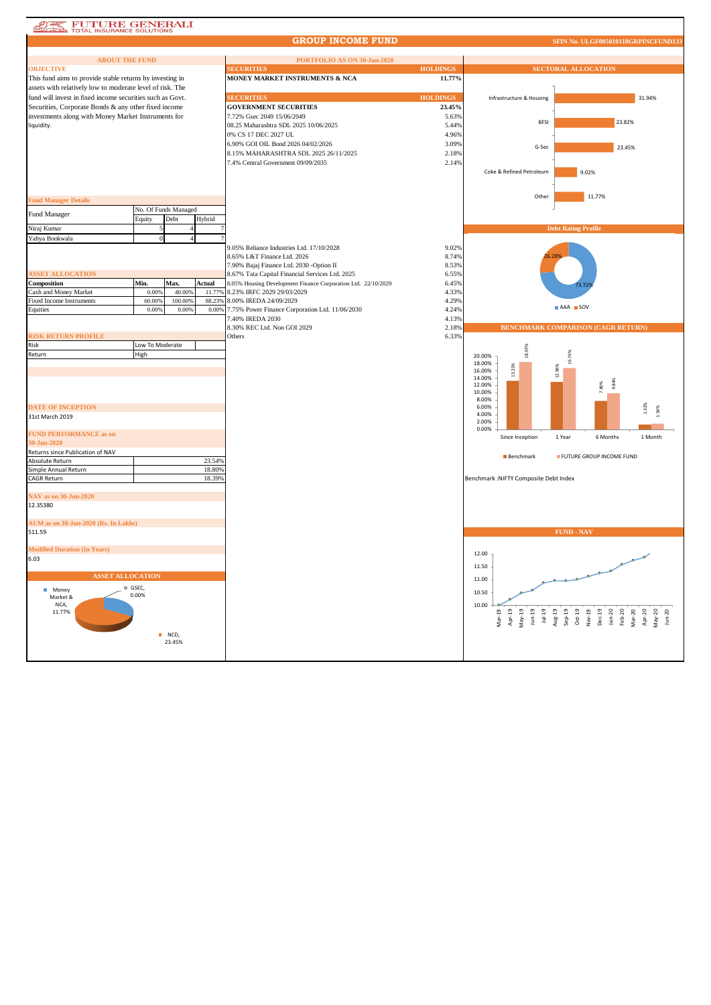## **ATE FUTURE GENERALI**

## **GROUP INCOME FUND**

| <b>ABOUT THE FUND</b>                                             |                 |                      |                  | PORTFOLIO AS ON 30-Jun-2020                                                                                      |                           |                                                       |                                                                                                               |  |
|-------------------------------------------------------------------|-----------------|----------------------|------------------|------------------------------------------------------------------------------------------------------------------|---------------------------|-------------------------------------------------------|---------------------------------------------------------------------------------------------------------------|--|
| <b>OBJECTIVE</b>                                                  |                 |                      |                  | <b>SECURITIES</b>                                                                                                | <b>HOLDINGS</b>           | <b>SECTORAL ALLOCATION</b>                            |                                                                                                               |  |
| This fund aims to provide stable returns by investing in          |                 |                      |                  | MONEY MARKET INSTRUMENTS & NCA                                                                                   | 11.77%                    |                                                       |                                                                                                               |  |
| assets with relatively low to moderate level of risk. The         |                 |                      |                  | <b>SECURITIES</b>                                                                                                |                           |                                                       |                                                                                                               |  |
| fund will invest in fixed income securities such as Govt.         |                 |                      |                  | <b>GOVERNMENT SECURITIES</b>                                                                                     | <b>HOLDINGS</b><br>23.45% | Infrastructure & Housing                              | 31.94%                                                                                                        |  |
| Securities, Corporate Bonds & any other fixed income              |                 |                      |                  | 7.72% Gsec 2049 15/06/2049                                                                                       | 5.63%                     |                                                       |                                                                                                               |  |
| investments along with Money Market Instruments for<br>liquidity. |                 |                      |                  | 08.25 Maharashtra SDL 2025 10/06/2025                                                                            | 5.44%                     | <b>BESI</b>                                           | 23.82%                                                                                                        |  |
|                                                                   |                 |                      |                  | 0% CS 17 DEC 2027 UL                                                                                             | 4.96%                     |                                                       |                                                                                                               |  |
|                                                                   |                 |                      |                  | 6.90% GOI OIL Bond 2026 04/02/2026                                                                               | 3.09%                     |                                                       | 23.45%                                                                                                        |  |
|                                                                   |                 |                      |                  | 8.15% MAHARASHTRA SDL 2025 26/11/2025                                                                            | 2.18%                     | G-Sec                                                 |                                                                                                               |  |
|                                                                   |                 |                      |                  | 7.4% Central Government 09/09/2035                                                                               | 2.14%                     |                                                       |                                                                                                               |  |
|                                                                   |                 |                      |                  |                                                                                                                  |                           | Coke & Refined Petroleum                              | 9.02%                                                                                                         |  |
|                                                                   |                 |                      |                  |                                                                                                                  |                           |                                                       |                                                                                                               |  |
|                                                                   |                 |                      |                  |                                                                                                                  |                           | Other                                                 | 11.77%                                                                                                        |  |
| <b>Fund Manager Details</b>                                       |                 | No. Of Funds Managed |                  |                                                                                                                  |                           |                                                       |                                                                                                               |  |
| Fund Manager                                                      | Equity          | Debt                 | Hybrid           |                                                                                                                  |                           |                                                       |                                                                                                               |  |
| Niraj Kumar                                                       |                 |                      |                  |                                                                                                                  |                           |                                                       | <b>Debt Rating Profile</b>                                                                                    |  |
| Yahya Bookwala                                                    | $\Omega$        |                      |                  |                                                                                                                  |                           |                                                       |                                                                                                               |  |
|                                                                   |                 |                      |                  | 9.05% Reliance Industries Ltd. 17/10/2028                                                                        | 9.02%                     |                                                       |                                                                                                               |  |
|                                                                   |                 |                      |                  | 8.65% L&T Finance Ltd. 2026                                                                                      | 8.74%                     |                                                       |                                                                                                               |  |
|                                                                   |                 |                      |                  | 7.90% Bajaj Finance Ltd. 2030 - Option II                                                                        | 8.53%                     |                                                       |                                                                                                               |  |
| <b>SSET ALLOCATION</b><br>Composition                             | Min.            | Max.                 | Actual           | 8.67% Tata Capital Financial Services Ltd. 2025<br>8.05% Housing Development Finance Corporation Ltd. 22/10/2029 | 6.55%<br>6.45%            |                                                       |                                                                                                               |  |
| Cash and Money Market                                             | 0.00%           | 40,00%               | 11.77%           | 8.23% IRFC 2029 29/03/2029                                                                                       | 4.33%                     |                                                       |                                                                                                               |  |
| <b>Fixed Income Instruments</b>                                   | 60.009          | 100.00%              | 88.23%           | 8.00% IREDA 24/09/2029                                                                                           | 4.29%                     |                                                       |                                                                                                               |  |
| Equities                                                          | 0.00%           | 0.00%                | 0.00%            | 7.75% Power Finance Corporation Ltd. 11/06/2030                                                                  | 4.24%                     |                                                       | AAA SOV                                                                                                       |  |
|                                                                   |                 |                      |                  | 7.40% IREDA 2030                                                                                                 | 4.13%                     |                                                       |                                                                                                               |  |
|                                                                   |                 |                      |                  | 8.30% REC Ltd. Non GOI 2029                                                                                      | 2.18%                     |                                                       | <b>BENCHMARK COMPARISON (CAGR RETURN)</b>                                                                     |  |
| <b>ISK RETURN PROFILE</b><br>Risk                                 | Low To Moderate |                      |                  | Others                                                                                                           | 6.33%                     |                                                       |                                                                                                               |  |
| Return                                                            | High            |                      |                  |                                                                                                                  |                           | 18.39%<br>20.00%                                      |                                                                                                               |  |
|                                                                   |                 |                      |                  |                                                                                                                  |                           | 18.00%                                                |                                                                                                               |  |
|                                                                   |                 |                      |                  |                                                                                                                  |                           | 13.25%<br>16.00%                                      | 12.96%                                                                                                        |  |
|                                                                   |                 |                      |                  |                                                                                                                  |                           | 14.00%<br>12.00%                                      | 9.84%<br>80%                                                                                                  |  |
|                                                                   |                 |                      |                  |                                                                                                                  |                           | 10.00%                                                |                                                                                                               |  |
|                                                                   |                 |                      |                  |                                                                                                                  |                           | 8.00%                                                 |                                                                                                               |  |
| <b>DATE OF INCEPTION</b><br>31st March 2019                       |                 |                      |                  |                                                                                                                  |                           | 6.00%<br>4.00%                                        | .32%                                                                                                          |  |
|                                                                   |                 |                      |                  |                                                                                                                  |                           | 2.00%                                                 |                                                                                                               |  |
| <b>FUND PERFORMANCE as on</b>                                     |                 |                      |                  |                                                                                                                  |                           | 0.00%<br>Since Inception                              | 1 Year<br>6 Months<br>1 Month                                                                                 |  |
| 30-Jun-2020                                                       |                 |                      |                  |                                                                                                                  |                           |                                                       |                                                                                                               |  |
| Returns since Publication of NAV                                  |                 |                      |                  |                                                                                                                  |                           | Benchmark                                             | FUTURE GROUP INCOME FUND                                                                                      |  |
| Absolute Return<br>Simple Annual Return                           |                 |                      | 23.54%<br>18.80% |                                                                                                                  |                           |                                                       |                                                                                                               |  |
| <b>CAGR Return</b>                                                |                 |                      | 18.39%           |                                                                                                                  |                           | Benchmark : NIFTY Composite Debt Index                |                                                                                                               |  |
|                                                                   |                 |                      |                  |                                                                                                                  |                           |                                                       |                                                                                                               |  |
| <b>NAV</b> as on 30-Jun-2020                                      |                 |                      |                  |                                                                                                                  |                           |                                                       |                                                                                                               |  |
| 12.35380                                                          |                 |                      |                  |                                                                                                                  |                           |                                                       |                                                                                                               |  |
| AUM as on 30-Jun-2020 (Rs. In Lakhs)                              |                 |                      |                  |                                                                                                                  |                           |                                                       |                                                                                                               |  |
| 511.59                                                            |                 |                      |                  |                                                                                                                  |                           |                                                       | <b>FUND - NAV</b>                                                                                             |  |
|                                                                   |                 |                      |                  |                                                                                                                  |                           |                                                       |                                                                                                               |  |
| <b>Modified Duration (In Years)</b>                               |                 |                      |                  |                                                                                                                  |                           | 12.00                                                 |                                                                                                               |  |
| 6.03                                                              |                 |                      |                  |                                                                                                                  |                           |                                                       |                                                                                                               |  |
|                                                                   |                 |                      |                  |                                                                                                                  |                           | 11.50                                                 |                                                                                                               |  |
| <b>ASSET ALLOCATION</b>                                           |                 |                      |                  |                                                                                                                  |                           | 11.00                                                 |                                                                                                               |  |
| $\equiv$ GSEC,<br>Money<br>0.00%                                  |                 |                      |                  |                                                                                                                  |                           | 10.50                                                 |                                                                                                               |  |
| Market &<br>NCA,                                                  |                 |                      |                  |                                                                                                                  |                           | 10.00                                                 |                                                                                                               |  |
| 11.77%                                                            |                 |                      |                  |                                                                                                                  |                           | Apr-19<br>May-19<br>$Jul-19$<br>$Mar-19$<br>$J$ un-19 | Aug-19<br>Sep-19<br>Oct-19<br>Nov-19<br>Dec-19<br>An-20<br>Heb-20<br>$Apr-20$<br>May-20<br>Jun-20<br>$Mar-20$ |  |
|                                                                   |                 |                      |                  |                                                                                                                  |                           |                                                       |                                                                                                               |  |
| NCD,                                                              |                 |                      |                  |                                                                                                                  |                           |                                                       |                                                                                                               |  |
| 23.45%                                                            |                 |                      |                  |                                                                                                                  |                           |                                                       |                                                                                                               |  |
|                                                                   |                 |                      |                  |                                                                                                                  |                           |                                                       |                                                                                                               |  |
|                                                                   |                 |                      |                  |                                                                                                                  |                           |                                                       |                                                                                                               |  |